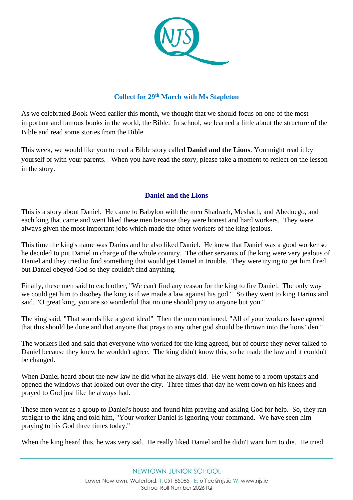

## **Collect for 29th March with Ms Stapleton**

As we celebrated Book Weed earlier this month, we thought that we should focus on one of the most important and famous books in the world, the Bible. In school, we learned a little about the structure of the Bible and read some stories from the Bible.

This week, we would like you to read a Bible story called **Daniel and the Lions**. You might read it by yourself or with your parents. When you have read the story, please take a moment to reflect on the lesson in the story.

## **Daniel and the Lions**

This is a story about Daniel. He came to Babylon with the men Shadrach, Meshach, and Abednego, and each king that came and went liked these men because they were honest and hard workers. They were always given the most important jobs which made the other workers of the king jealous.

This time the king's name was Darius and he also liked Daniel. He knew that Daniel was a good worker so he decided to put Daniel in charge of the whole country. The other servants of the king were very jealous of Daniel and they tried to find something that would get Daniel in trouble. They were trying to get him fired, but Daniel obeyed God so they couldn't find anything.

Finally, these men said to each other, "We can't find any reason for the king to fire Daniel. The only way we could get him to disobey the king is if we made a law against his god." So they went to king Darius and said, "O great king, you are so wonderful that no one should pray to anyone but you."

The king said, "That sounds like a great idea!" Then the men continued, "All of your workers have agreed that this should be done and that anyone that prays to any other god should be thrown into the lions' den."

The workers lied and said that everyone who worked for the king agreed, but of course they never talked to Daniel because they knew he wouldn't agree. The king didn't know this, so he made the law and it couldn't be changed.

When Daniel heard about the new law he did what he always did. He went home to a room upstairs and opened the windows that looked out over the city. Three times that day he went down on his knees and prayed to God just like he always had.

These men went as a group to Daniel's house and found him praying and asking God for help. So, they ran straight to the king and told him, "Your worker Daniel is ignoring your command. We have seen him praying to his God three times today."

When the king heard this, he was very sad. He really liked Daniel and he didn't want him to die. He tried